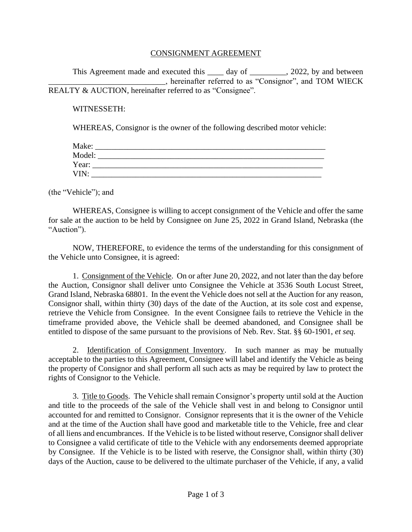## CONSIGNMENT AGREEMENT

This Agreement made and executed this day of  $\qquad \qquad$ , 2022, by and between \_\_\_\_\_\_\_\_\_\_\_\_\_\_\_\_\_\_\_\_\_\_\_\_\_\_\_\_\_, hereinafter referred to as "Consignor", and TOM WIECK REALTY & AUCTION, hereinafter referred to as "Consignee".

## WITNESSETH:

WHEREAS, Consignor is the owner of the following described motor vehicle:

| Make:  |  |
|--------|--|
| Model: |  |
| Year:  |  |
| VIN:   |  |

(the "Vehicle"); and

WHEREAS, Consignee is willing to accept consignment of the Vehicle and offer the same for sale at the auction to be held by Consignee on June 25, 2022 in Grand Island, Nebraska (the "Auction").

NOW, THEREFORE, to evidence the terms of the understanding for this consignment of the Vehicle unto Consignee, it is agreed:

1. Consignment of the Vehicle. On or after June 20, 2022, and not later than the day before the Auction, Consignor shall deliver unto Consignee the Vehicle at 3536 South Locust Street, Grand Island, Nebraska 68801. In the event the Vehicle does not sell at the Auction for any reason, Consignor shall, within thirty (30) days of the date of the Auction, at its sole cost and expense, retrieve the Vehicle from Consignee. In the event Consignee fails to retrieve the Vehicle in the timeframe provided above, the Vehicle shall be deemed abandoned, and Consignee shall be entitled to dispose of the same pursuant to the provisions of Neb. Rev. Stat. §§ 60-1901, *et seq.*

2. Identification of Consignment Inventory. In such manner as may be mutually acceptable to the parties to this Agreement, Consignee will label and identify the Vehicle as being the property of Consignor and shall perform all such acts as may be required by law to protect the rights of Consignor to the Vehicle.

3. Title to Goods. The Vehicle shall remain Consignor's property until sold at the Auction and title to the proceeds of the sale of the Vehicle shall vest in and belong to Consignor until accounted for and remitted to Consignor. Consignor represents that it is the owner of the Vehicle and at the time of the Auction shall have good and marketable title to the Vehicle, free and clear of all liens and encumbrances. If the Vehicle is to be listed without reserve, Consignor shall deliver to Consignee a valid certificate of title to the Vehicle with any endorsements deemed appropriate by Consignee. If the Vehicle is to be listed with reserve, the Consignor shall, within thirty (30) days of the Auction, cause to be delivered to the ultimate purchaser of the Vehicle, if any, a valid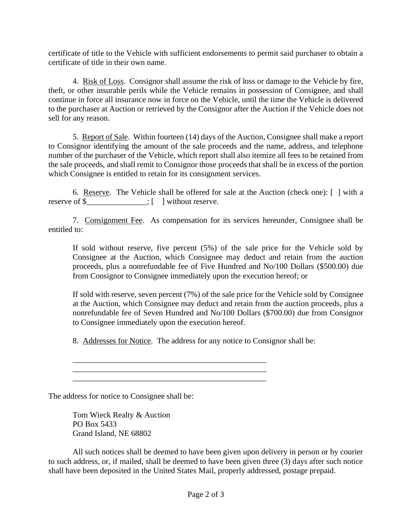certificate of title to the Vehicle with sufficient endorsements to permit said purchaser to obtain a certificate of title in their own name.

4. Risk of Loss. Consignor shall assume the risk of loss or damage to the Vehicle by fire, theft, or other insurable perils while the Vehicle remains in possession of Consignee, and shall continue in force all insurance now in force on the Vehicle, until the time the Vehicle is delivered to the purchaser at Auction or retrieved by the Consignor after the Auction if the Vehicle does not sell for any reason.

5. Report of Sale. Within fourteen (14) days of the Auction, Consignee shall make a report to Consignor identifying the amount of the sale proceeds and the name, address, and telephone number of the purchaser of the Vehicle, which report shall also itemize all fees to be retained from the sale proceeds, and shall remit to Consignor those proceeds that shall be in excess of the portion which Consignee is entitled to retain for its consignment services.

6. Reserve. The Vehicle shall be offered for sale at the Auction (check one): [ ] with a reserve of \$  $\qquad \qquad$ : [ ] without reserve.

7. Consignment Fee. As compensation for its services hereunder, Consignee shall be entitled to:

If sold without reserve, five percent (5%) of the sale price for the Vehicle sold by Consignee at the Auction, which Consignee may deduct and retain from the auction proceeds, plus a nonrefundable fee of Five Hundred and No/100 Dollars (\$500.00) due from Consignor to Consignee immediately upon the execution hereof; or

If sold with reserve, seven percent (7%) of the sale price for the Vehicle sold by Consignee at the Auction, which Consignee may deduct and retain from the auction proceeds, plus a nonrefundable fee of Seven Hundred and No/100 Dollars (\$700.00) due from Consignor to Consignee immediately upon the execution hereof.

8. Addresses for Notice. The address for any notice to Consignor shall be:

\_\_\_\_\_\_\_\_\_\_\_\_\_\_\_\_\_\_\_\_\_\_\_\_\_\_\_\_\_\_\_\_\_\_\_\_\_\_\_\_\_\_\_\_\_\_\_\_ \_\_\_\_\_\_\_\_\_\_\_\_\_\_\_\_\_\_\_\_\_\_\_\_\_\_\_\_\_\_\_\_\_\_\_\_\_\_\_\_\_\_\_\_\_\_\_\_ \_\_\_\_\_\_\_\_\_\_\_\_\_\_\_\_\_\_\_\_\_\_\_\_\_\_\_\_\_\_\_\_\_\_\_\_\_\_\_\_\_\_\_\_\_\_\_\_

The address for notice to Consignee shall be:

Tom Wieck Realty & Auction PO Box 5433 Grand Island, NE 68802

All such notices shall be deemed to have been given upon delivery in person or by courier to such address, or, if mailed, shall be deemed to have been given three (3) days after such notice shall have been deposited in the United States Mail, properly addressed, postage prepaid.